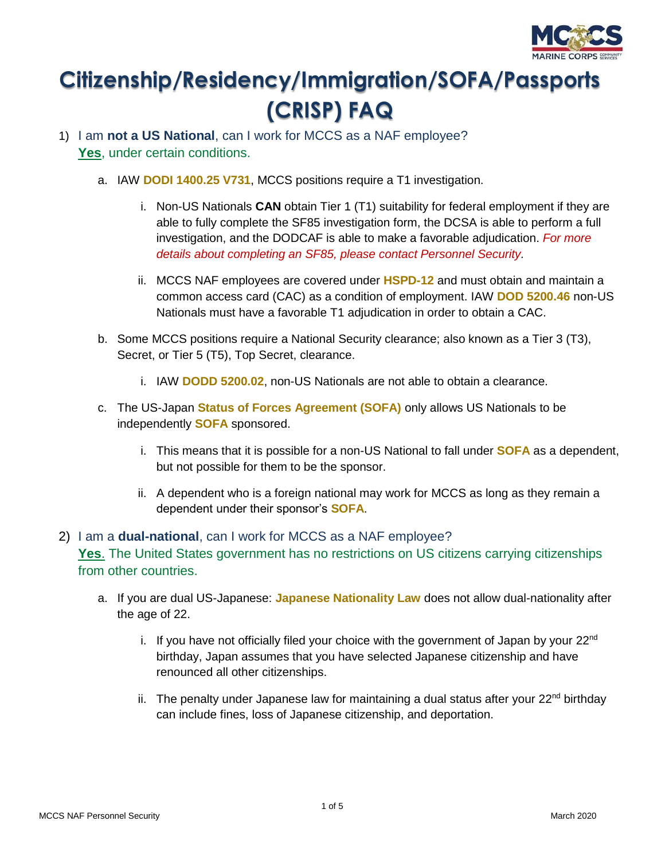

# **Citizenship/Residency/Immigration/SOFA/Passports (CRISP) FAQ**

- 1) I am **not a US National**, can I work for MCCS as a NAF employee? Yes, under certain conditions.
	- a. IAW **DODI 1400.25 V731**, MCCS positions require a T1 investigation.
		- i. Non-US Nationals **CAN** obtain Tier 1 (T1) suitability for federal employment if they are able to fully complete the SF85 investigation form, the DCSA is able to perform a full investigation, and the DODCAF is able to make a favorable adjudication. *For more details about completing an SF85, please contact Personnel Security.*
		- ii. MCCS NAF employees are covered under **HSPD-12** and must obtain and maintain a common access card (CAC) as a condition of employment. IAW **DOD 5200.46** non-US Nationals must have a favorable T1 adjudication in order to obtain a CAC.
	- b. Some MCCS positions require a National Security clearance; also known as a Tier 3 (T3), Secret, or Tier 5 (T5), Top Secret, clearance.
		- i. IAW **DODD 5200.02**, non-US Nationals are not able to obtain a clearance.
	- c. The US-Japan **[Status of Forces Agreement \(SOFA\)](https://www.mofa.go.jp/region/n-america/us/q&a/ref/2.html)** only allows US Nationals to be independently **SOFA** sponsored.
		- i. This means that it is possible for a non-US National to fall under **SOFA** as a dependent, but not possible for them to be the sponsor.
		- ii. A dependent who is a foreign national may work for MCCS as long as they remain a dependent under their sponsor's **SOFA**.
- 2) I am a **dual-national**, can I work for MCCS as a NAF employee? **Yes**. The United States government has no restrictions on US citizens carrying citizenships from other countries.
	- a. If you are dual US-Japanese: **[Japanese Nationality Law](http://www.moj.go.jp/ENGLISH/information/tcon-01.html)** does not allow dual-nationality after the age of 22.
		- i. If you have not officially filed your choice with the government of Japan by your  $22<sup>nd</sup>$ birthday, Japan assumes that you have selected Japanese citizenship and have renounced all other citizenships.
		- ii. The penalty under Japanese law for maintaining a dual status after your  $22<sup>nd</sup>$  birthday can include fines, loss of Japanese citizenship, and deportation.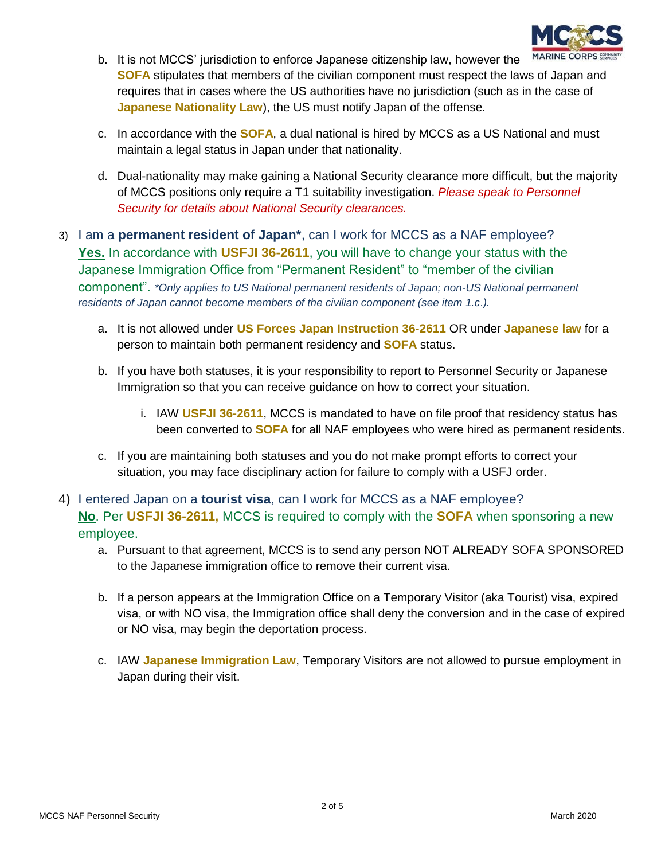

- b. It is not MCCS' jurisdiction to enforce Japanese citizenship law, however the **SOFA** stipulates that members of the civilian component must respect the laws of Japan and requires that in cases where the US authorities have no jurisdiction (such as in the case of **Japanese Nationality Law**), the US must notify Japan of the offense.
- c. In accordance with the **SOFA**, a dual national is hired by MCCS as a US National and must maintain a legal status in Japan under that nationality.
- d. Dual-nationality may make gaining a National Security clearance more difficult, but the majority of MCCS positions only require a T1 suitability investigation. *Please speak to Personnel Security for details about National Security clearances.*
- 3) I am a **permanent resident of Japan\***, can I work for MCCS as a NAF employee? **Yes.** In accordance with **USFJI 36-2611**, you will have to change your status with the Japanese Immigration Office from "Permanent Resident" to "member of the civilian component". *\*Only applies to US National permanent residents of Japan; non-US National permanent residents of Japan cannot become members of the civilian component (see item 1.c*.*).*
	- a. It is not allowed under **[US Forces Japan Instruction 36-2611](http://www.moj.go.jp/ENGLISH/information/tcon-01.html)** OR under **Japanese law** for a person to maintain both permanent residency and **SOFA** status.
	- b. If you have both statuses, it is your responsibility to report to Personnel Security or Japanese Immigration so that you can receive guidance on how to correct your situation.
		- i. IAW **USFJI 36-2611**, MCCS is mandated to have on file proof that residency status has been converted to **SOFA** for all NAF employees who were hired as permanent residents.
	- c. If you are maintaining both statuses and you do not make prompt efforts to correct your situation, you may face disciplinary action for failure to comply with a USFJ order.
- 4) I entered Japan on a **tourist visa**, can I work for MCCS as a NAF employee? **No**. Per **USFJI 36-2611,** MCCS is required to comply with the **SOFA** when sponsoring a new employee.
	- a. Pursuant to that agreement, MCCS is to send any person NOT ALREADY SOFA SPONSORED to the Japanese immigration office to remove their current visa.
	- b. If a person appears at the Immigration Office on a Temporary Visitor (aka Tourist) visa, expired visa, or with NO visa, the Immigration office shall deny the conversion and in the case of expired or NO visa, may begin the deportation process.
	- c. IAW **[Japanese Immigration Law](http://www.japaneselawtranslation.go.jp/law/detail_main?id=173&vm=2)**, Temporary Visitors are not allowed to pursue employment in Japan during their visit.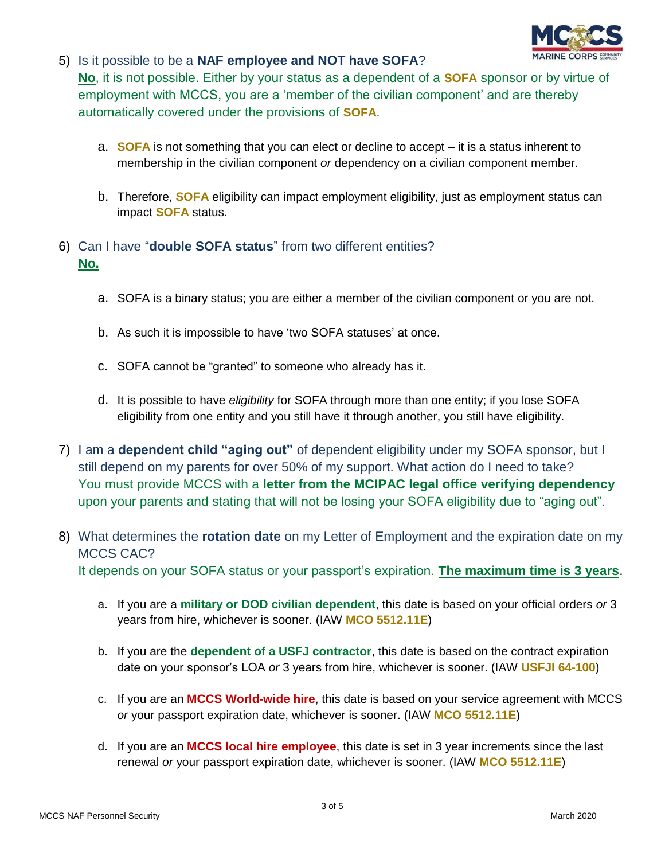

### 5) Is it possible to be a **NAF employee and NOT have SOFA**?

**No**, it is not possible. Either by your status as a dependent of a **SOFA** sponsor or by virtue of employment with MCCS, you are a 'member of the civilian component' and are thereby automatically covered under the provisions of **SOFA**.

- a. **SOFA** is not something that you can elect or decline to accept it is a status inherent to membership in the civilian component *or* dependency on a civilian component member.
- b. Therefore, **SOFA** eligibility can impact employment eligibility, just as employment status can impact **SOFA** status.
- 6) Can I have "**double SOFA status**" from two different entities? **No.**
	- a. SOFA is a binary status; you are either a member of the civilian component or you are not.
	- b. As such it is impossible to have 'two SOFA statuses' at once.
	- c. SOFA cannot be "granted" to someone who already has it.
	- d. It is possible to have *eligibility* for SOFA through more than one entity; if you lose SOFA eligibility from one entity and you still have it through another, you still have eligibility.
- 7) I am a **dependent child "aging out"** of dependent eligibility under my SOFA sponsor, but I still depend on my parents for over 50% of my support. What action do I need to take? You must provide MCCS with a **letter from the MCIPAC legal office verifying dependency** upon your parents and stating that will not be losing your SOFA eligibility due to "aging out".
- 8) What determines the **rotation date** on my Letter of Employment and the expiration date on my MCCS CAC? It depends on your SOFA status or your passport's expiration. **The maximum time is 3 years**.
	- a. If you are a **military or DOD civilian dependent**, this date is based on your official orders *or* 3 years from hire, whichever is sooner. (IAW **MCO 5512.11E**)
	- b. If you are the **dependent of a USFJ contractor**, this date is based on the contract expiration date on your sponsor's LOA *or* 3 years from hire, whichever is sooner. (IAW **USFJI 64-100**)
	- c. If you are an **MCCS World-wide hire**, this date is based on your service agreement with MCCS *or* your passport expiration date, whichever is sooner. (IAW **MCO 5512.11E**)
	- d. If you are an **MCCS local hire employee**, this date is set in 3 year increments since the last renewal *or* your passport expiration date, whichever is sooner. (IAW **MCO 5512.11E**)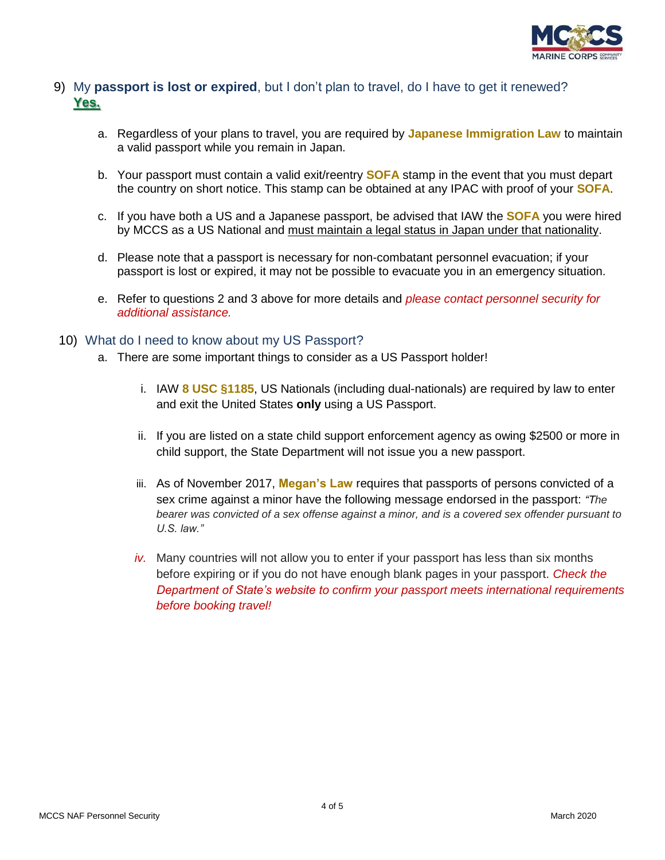

#### 9) My **passport is lost or expired**, but I don't plan to travel, do I have to get it renewed? **Yes.**

- a. Regardless of your plans to travel, you are required by **Japanese Immigration Law** to maintain a valid passport while you remain in Japan.
- b. Your passport must contain a valid exit/reentry **SOFA** stamp in the event that you must depart the country on short notice. This stamp can be obtained at any IPAC with proof of your **SOFA**.
- c. If you have both a US and a Japanese passport, be advised that IAW the **SOFA** you were hired by MCCS as a US National and must maintain a legal status in Japan under that nationality.
- d. Please note that a passport is necessary for non-combatant personnel evacuation; if your passport is lost or expired, it may not be possible to evacuate you in an emergency situation.
- e. Refer to questions 2 and 3 above for more details and *please contact personnel security for additional assistance.*

#### 10) What do I need to know about my US Passport?

- a. There are some important things to consider as a US Passport holder!
	- i. IAW **8 USC §1185**, US Nationals (including dual-nationals) are required by law to enter and exit the United States **only** using a US Passport.
	- ii. If you are listed on a state child support enforcement agency as owing \$2500 or more in child support, the State Department will not issue you a new passport.
	- iii. As of November 2017, **Megan's Law** requires that passports of persons convicted of a sex crime against a minor have the following message endorsed in the passport: *"The bearer was convicted of a sex offense against a minor, and is a covered sex offender pursuant to U.S. law."*
	- *iv.* Many countries will not allow you to enter if your passport has less than six months before expiring or if you do not have enough blank pages in your passport. *Check the Department of State's website to confirm your passport meets international requirements before booking travel!*